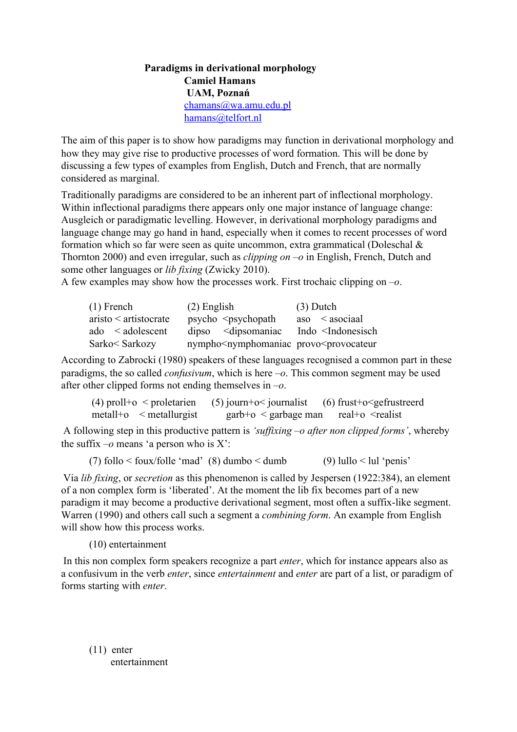## **Paradigms in derivational morphology Camiel Hamans UAM, Poznań** [chamans@wa.amu.edu.pl](mailto:chamans@wa.amu.edu.pl) [hamans@telfort.nl](mailto:hamans@telfort.nl)

The aim of this paper is to show how paradigms may function in derivational morphology and how they may give rise to productive processes of word formation. This will be done by discussing a few types of examples from English, Dutch and French, that are normally considered as marginal.

Traditionally paradigms are considered to be an inherent part of inflectional morphology. Within inflectional paradigms there appears only one major instance of language change: Ausgleich or paradigmatic levelling. However, in derivational morphology paradigms and language change may go hand in hand, especially when it comes to recent processes of word formation which so far were seen as quite uncommon, extra grammatical (Doleschal  $\&$ Thornton 2000) and even irregular, such as *clipping on –o* in English, French, Dutch and some other languages or *lib fixing* (Zwicky 2010).

A few examples may show how the processes work. First trochaic clipping on *–o*.

| $(1)$ French          | $(2)$ English                                                             | $(3)$ Dutch                              |
|-----------------------|---------------------------------------------------------------------------|------------------------------------------|
| aristo < artistocrate | psycho<br><sub>&gt;&gt;</sub> sychopath                                   | $\cos \theta$ < asociaal                 |
| ado < adolescent      | $dipso$ $\leq$ dipsomaniac                                                | Indo <indonesisch< td=""></indonesisch<> |
| Sarko< Sarkozy        | nympho <nymphomaniac provo<provocateur<="" td=""><td></td></nymphomaniac> |                                          |

According to Zabrocki (1980) speakers of these languages recognised a common part in these paradigms, the so called *confusivum*, which is here *–o*. This common segment may be used after other clipped forms not ending themselves in *–o*.

| $(4)$ proll+o < proletarien | $(5)$ journ+o< journalist           | $(6)$ frust+o $\leq$ gefrustreerd  |
|-----------------------------|-------------------------------------|------------------------------------|
| $metalHo$ < metallurgist    | $\text{garb}$ +o $\leq$ garbage man | real+o <realist< td=""></realist<> |

A following step in this productive pattern is *'suffixing –o after non clipped forms'*, whereby the suffix  $-o$  means 'a person who is  $X'$ :

(7) follo  $\leq$  foux/folle 'mad' (8) dumbo  $\leq$  dumb $(9)$  lullo  $\leq$  lul 'penis'

Via *lib fixing*, or *secretion* as this phenomenon is called by Jespersen (1922:384), an element of a non complex form is 'liberated'. At the moment the lib fix becomes part of a new paradigm it may become a productive derivational segment, most often a suffix-like segment. Warren (1990) and others call such a segment a *combining form*. An example from English will show how this process works.

(10) entertainment

In this non complex form speakers recognize a part *enter*, which for instance appears also as a confusivum in the verb *enter*, since *entertainment* and *enter* are part of a list, or paradigm of forms starting with *enter*.

 $(11)$  enter entertainment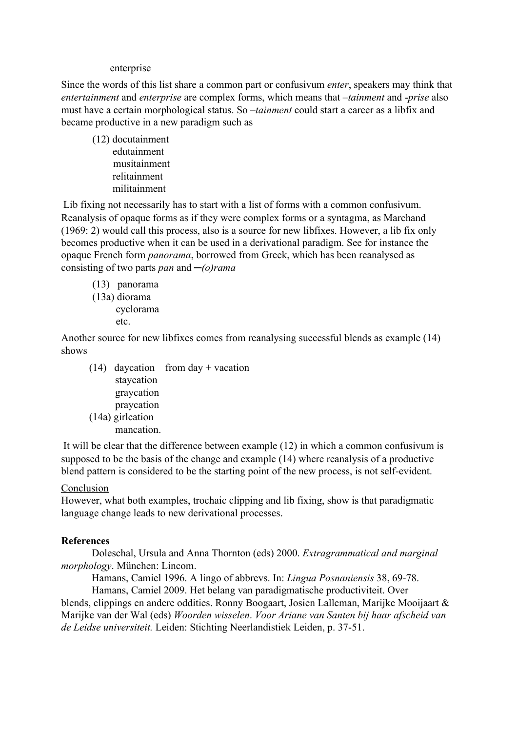## enterprise

Since the words of this list share a common part or confusivum *enter*, speakers may think that *entertainment* and *enterprise* are complex forms, which means that –*tainment* and *prise* also must have a certain morphological status. So –*tainment* could start a career as a libfix and became productive in a new paradigm such as

(12) docutainment edutainment musitainment relitainment militainment

Lib fixing not necessarily has to start with a list of forms with a common confusivum. Reanalysis of opaque forms as if they were complex forms or a syntagma, as Marchand (1969: 2) would call this process, also is a source for new libfixes. However, a lib fix only becomes productive when it can be used in a derivational paradigm. See for instance the opaque French form *panorama*, borrowed from Greek, which has been reanalysed as consisting of two parts *pan* and *─(o)rama*

(13) panorama (13a) diorama cyclorama etc.

Another source for new libfixes comes from reanalysing successful blends as example (14) shows

(14) daycation from day + vacation staycation graycation praycation (14a) girlcation mancation.

It will be clear that the difference between example (12) in which a common confusivum is supposed to be the basis of the change and example (14) where reanalysis of a productive blend pattern is considered to be the starting point of the new process, is not self-evident.

## **Conclusion**

However, what both examples, trochaic clipping and lib fixing, show is that paradigmatic language change leads to new derivational processes.

## **References**

Doleschal, Ursula and Anna Thornton (eds) 2000. *Extragrammatical and marginal morphology*. München: Lincom.

Hamans, Camiel 1996. A lingo of abbrevs. In: *Lingua Posnaniensis* 38, 69-78.

Hamans, Camiel 2009. Het belang van paradigmatische productiviteit. Over blends, clippings en andere oddities. Ronny Boogaart, Josien Lalleman, Marijke Mooijaart & Marijke van der Wal (eds) *Woorden wisselen*. *Voor Ariane van Santen bij haar afscheid van* de Leidse universiteit. Leiden: Stichting Neerlandistiek Leiden, p. 37-51.